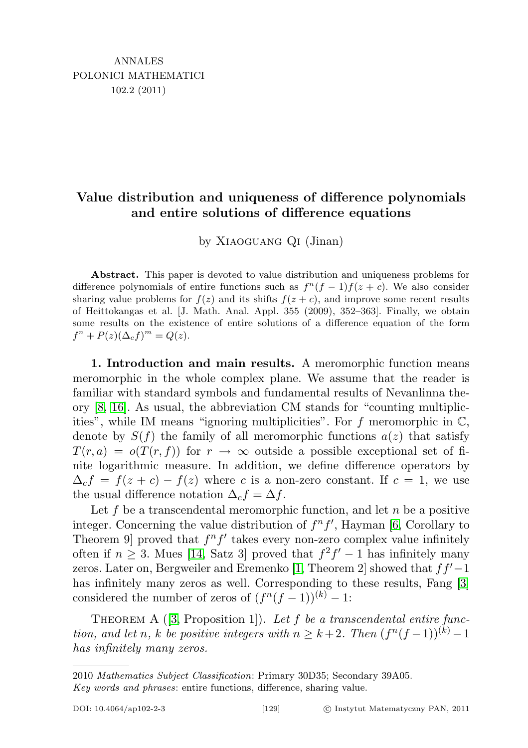## Value distribution and uniqueness of difference polynomials and entire solutions of difference equations

by Xiaoguang Qi (Jinan)

Abstract. This paper is devoted to value distribution and uniqueness problems for difference polynomials of entire functions such as  $f^{n}(f-1)f(z+c)$ . We also consider sharing value problems for  $f(z)$  and its shifts  $f(z + c)$ , and improve some recent results of Heittokangas et al. [J. Math. Anal. Appl. 355 (2009), 352–363]. Finally, we obtain some results on the existence of entire solutions of a difference equation of the form  $f^{n} + P(z)(\Delta_{c}f)^{m} = Q(z).$ 

1. Introduction and main results. A meromorphic function means meromorphic in the whole complex plane. We assume that the reader is familiar with standard symbols and fundamental results of Nevanlinna theory [\[8,](#page-12-0) [16\]](#page-13-0). As usual, the abbreviation CM stands for "counting multiplicities", while IM means "ignoring multiplicities". For  $f$  meromorphic in  $\mathbb{C}$ , denote by  $S(f)$  the family of all meromorphic functions  $a(z)$  that satisfy  $T(r, a) = o(T(r, f))$  for  $r \to \infty$  outside a possible exceptional set of finite logarithmic measure. In addition, we define difference operators by  $\Delta_c f = f(z + c) - f(z)$  where c is a non-zero constant. If  $c = 1$ , we use the usual difference notation  $\Delta_c f = \Delta f$ .

Let f be a transcendental meromorphic function, and let  $n$  be a positive integer. Concerning the value distribution of  $f^n f'$ , Hayman [\[6,](#page-12-1) Corollary to Theorem 9 proved that  $f^n f'$  takes every non-zero complex value infinitely often if  $n \geq 3$ . Mues [\[14,](#page-12-2) Satz 3] proved that  $f^2f' - 1$  has infinitely many zeros. Later on, Bergweiler and Eremenko [\[1,](#page-12-3) Theorem 2] showed that  $ff'-1$ has infinitely many zeros as well. Corresponding to these results, Fang [\[3\]](#page-12-4) considered the number of zeros of  $(f^n(f-1))^{(k)}-1$ :

THEOREM A  $([3, Proposition 1])$  $([3, Proposition 1])$  $([3, Proposition 1])$ . Let f be a transcendental entire function, and let n, k be positive integers with  $n \geq k+2$ . Then  $(f^{n}(f-1))^{(k)}-1$ has infinitely many zeros.

<sup>2010</sup> Mathematics Subject Classification: Primary 30D35; Secondary 39A05. Key words and phrases: entire functions, difference, sharing value.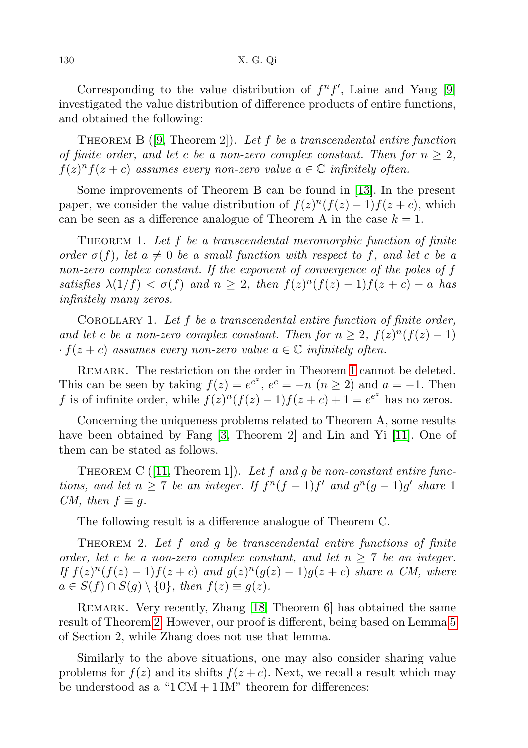Corresponding to the value distribution of  $f^n f'$ , Laine and Yang [\[9\]](#page-12-5) investigated the value distribution of difference products of entire functions, and obtained the following:

THEOREM B  $([9, Theorem 2])$  $([9, Theorem 2])$  $([9, Theorem 2])$ . Let f be a transcendental entire function of finite order, and let c be a non-zero complex constant. Then for  $n \geq 2$ ,  $f(z)^n f(z+c)$  assumes every non-zero value  $a \in \mathbb{C}$  infinitely often.

Some improvements of Theorem B can be found in [\[13\]](#page-12-6). In the present paper, we consider the value distribution of  $f(z)^n(f(z)-1)f(z+c)$ , which can be seen as a difference analogue of Theorem A in the case  $k = 1$ .

<span id="page-1-0"></span>THEOREM 1. Let  $f$  be a transcendental meromorphic function of finite order  $\sigma(f)$ , let  $a \neq 0$  be a small function with respect to f, and let c be a non-zero complex constant. If the exponent of convergence of the poles of f satisfies  $\lambda(1/f) < \sigma(f)$  and  $n \geq 2$ , then  $f(z)^n(f(z)-1)f(z+c) - a$  has infinitely many zeros.

COROLLARY 1. Let  $f$  be a transcendental entire function of finite order, and let c be a non-zero complex constant. Then for  $n \geq 2$ ,  $f(z)^n(f(z)-1)$  $\cdot f(z+c)$  assumes every non-zero value  $a \in \mathbb{C}$  infinitely often.

Remark. The restriction on the order in Theorem [1](#page-1-0) cannot be deleted. This can be seen by taking  $f(z) = e^{e^z}$ ,  $e^c = -n$   $(n \ge 2)$  and  $a = -1$ . Then f is of infinite order, while  $f(z)^n(f(z)-1)f(z+c)+1=e^{e^z}$  has no zeros.

Concerning the uniqueness problems related to Theorem A, some results have been obtained by Fang [\[3,](#page-12-4) Theorem 2] and Lin and Yi [\[11\]](#page-12-7). One of them can be stated as follows.

THEOREM C ([\[11,](#page-12-7) Theorem 1]). Let f and g be non-constant entire functions, and let  $n \geq 7$  be an integer. If  $f^{n}(f-1)f'$  and  $g^{n}(g-1)g'$  share 1 CM, then  $f \equiv g$ .

The following result is a difference analogue of Theorem C.

<span id="page-1-1"></span>THEOREM 2. Let  $f$  and  $g$  be transcendental entire functions of finite order, let c be a non-zero complex constant, and let  $n \geq 7$  be an integer. If  $f(z)^n(f(z)-1)f(z+c)$  and  $g(z)^n(g(z)-1)g(z+c)$  share a CM, where  $a \in S(f) \cap S(g) \setminus \{0\}$ , then  $f(z) \equiv g(z)$ .

REMARK. Very recently, Zhang [\[18,](#page-13-1) Theorem 6] has obtained the same result of Theorem [2.](#page-1-1) However, our proof is different, being based on Lemma [5](#page-4-0) of Section 2, while Zhang does not use that lemma.

Similarly to the above situations, one may also consider sharing value problems for  $f(z)$  and its shifts  $f(z + c)$ . Next, we recall a result which may be understood as a " $1 \text{CM} + 1 \text{IM}$ " theorem for differences: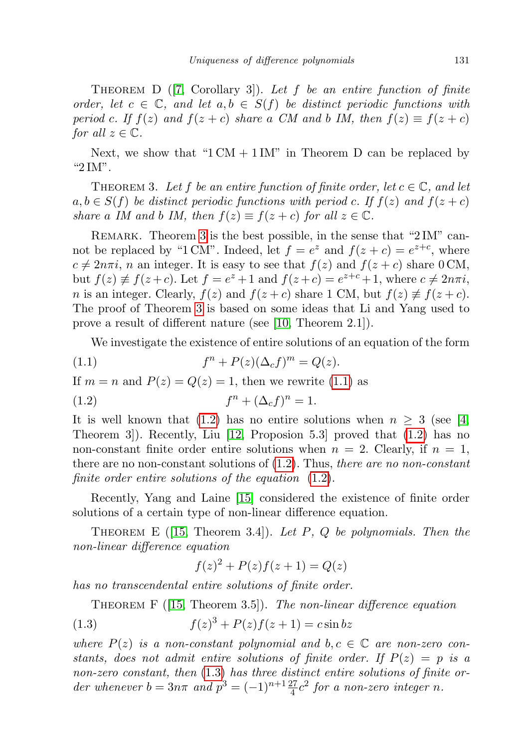THEOREM D  $([7, Corollary 3])$  $([7, Corollary 3])$  $([7, Corollary 3])$ . Let f be an entire function of finite order, let  $c \in \mathbb{C}$ , and let  $a, b \in S(f)$  be distinct periodic functions with period c. If  $f(z)$  and  $f(z + c)$  share a CM and b IM, then  $f(z) \equiv f(z + c)$ for all  $z \in \mathbb{C}$ .

Next, we show that " $1 \text{CM} + 1 \text{IM}$ " in Theorem D can be replaced by "2 IM".

<span id="page-2-0"></span>THEOREM 3. Let f be an entire function of finite order, let  $c \in \mathbb{C}$ , and let  $a, b \in S(f)$  be distinct periodic functions with period c. If  $f(z)$  and  $f(z+c)$ share a IM and b IM, then  $f(z) \equiv f(z+c)$  for all  $z \in \mathbb{C}$ .

REMARK. Theorem [3](#page-2-0) is the best possible, in the sense that "2 IM" cannot be replaced by "1 CM". Indeed, let  $f = e^z$  and  $f(z + c) = e^{z+c}$ , where  $c \neq 2n\pi i$ , n an integer. It is easy to see that  $f(z)$  and  $f(z + c)$  share 0 CM, but  $f(z) \neq f(z+c)$ . Let  $f = e^z + 1$  and  $f(z+c) = e^{z+c} + 1$ , where  $c \neq 2n\pi i$ , n is an integer. Clearly,  $f(z)$  and  $f(z+c)$  share 1 CM, but  $f(z) \not\equiv f(z+c)$ . The proof of Theorem [3](#page-2-0) is based on some ideas that Li and Yang used to prove a result of different nature (see [\[10,](#page-12-9) Theorem 2.1]).

<span id="page-2-2"></span><span id="page-2-1"></span>We investigate the existence of entire solutions of an equation of the form

$$
(1.1) \t\t\t fn + P(z)(\Delta_c f)m = Q(z).
$$

If  $m = n$  and  $P(z) = Q(z) = 1$ , then we rewrite [\(1.1\)](#page-2-1) as

$$
(1.2) \t\t fn + (\Deltac f)n = 1.
$$

It is well known that [\(1.2\)](#page-2-2) has no entire solutions when  $n \geq 3$  (see [\[4,](#page-12-10) Theorem 3]). Recently, Liu [\[12,](#page-12-11) Proposion 5.3] proved that [\(1.2\)](#page-2-2) has no non-constant finite order entire solutions when  $n = 2$ . Clearly, if  $n = 1$ , there are no non-constant solutions of  $(1.2)$ . Thus, there are no non-constant finite order entire solutions of the equation  $(1.2)$ .

Recently, Yang and Laine [\[15\]](#page-13-2) considered the existence of finite order solutions of a certain type of non-linear difference equation.

THEOREM E ([\[15,](#page-13-2) Theorem 3.4]). Let P, Q be polynomials. Then the non-linear difference equation

<span id="page-2-3"></span>
$$
f(z)^{2} + P(z)f(z+1) = Q(z)
$$

has no transcendental entire solutions of finite order.

THEOREM F  $([15, Theorem 3.5])$  $([15, Theorem 3.5])$  $([15, Theorem 3.5])$ . The non-linear difference equation

(1.3) 
$$
f(z)^3 + P(z)f(z+1) = c \sin bz
$$

where  $P(z)$  is a non-constant polynomial and  $b, c \in \mathbb{C}$  are non-zero constants, does not admit entire solutions of finite order. If  $P(z) = p$  is a non-zero constant, then [\(1.3\)](#page-2-3) has three distinct entire solutions of finite order whenever  $b = 3n\pi$  and  $p^3 = (-1)^{n+1}\frac{27}{4}c^2$  for a non-zero integer n.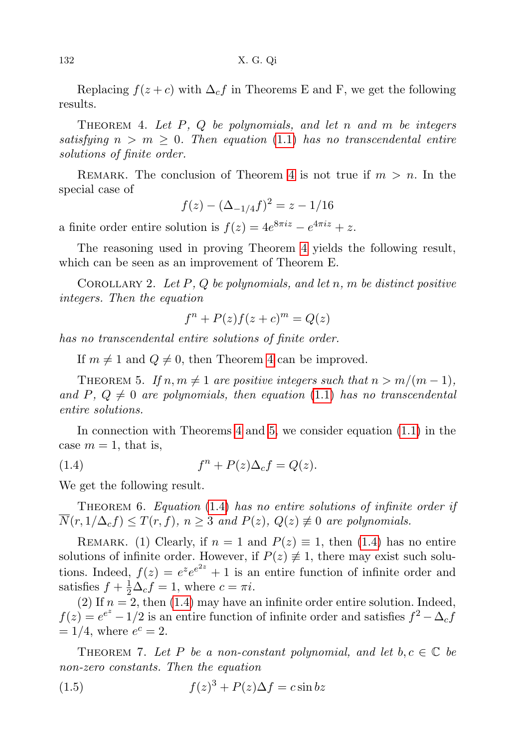Replacing  $f(z+c)$  with  $\Delta_c f$  in Theorems E and F, we get the following results.

<span id="page-3-0"></span>THEOREM 4. Let  $P$ ,  $Q$  be polynomials, and let n and m be integers satisfying  $n > m \geq 0$ . Then equation [\(1.1\)](#page-2-1) has no transcendental entire solutions of finite order.

REMARK. The conclusion of Theorem [4](#page-3-0) is not true if  $m > n$ . In the special case of

$$
f(z) - (\Delta_{-1/4}f)^2 = z - 1/16
$$

a finite order entire solution is  $f(z) = 4e^{8\pi i z} - e^{4\pi i z} + z$ .

The reasoning used in proving Theorem [4](#page-3-0) yields the following result, which can be seen as an improvement of Theorem E.

COROLLARY 2. Let  $P$ ,  $Q$  be polynomials, and let  $n$ ,  $m$  be distinct positive integers. Then the equation

$$
f^n + P(z)f(z+c)^m = Q(z)
$$

has no transcendental entire solutions of finite order.

If  $m \neq 1$  and  $Q \neq 0$ , then Theorem [4](#page-3-0) can be improved.

<span id="page-3-1"></span>THEOREM 5. If  $n, m \neq 1$  are positive integers such that  $n > m/(m-1)$ , and P,  $Q \neq 0$  are polynomials, then equation [\(1.1\)](#page-2-1) has no transcendental entire solutions.

In connection with Theorems [4](#page-3-0) and [5,](#page-3-1) we consider equation [\(1.1\)](#page-2-1) in the case  $m = 1$ , that is,

<span id="page-3-2"></span>(1.4) 
$$
f^{n} + P(z)\Delta_{c}f = Q(z).
$$

We get the following result.

<span id="page-3-5"></span>THEOREM 6. Equation  $(1.4)$  has no entire solutions of infinite order if  $N(r, 1/\Delta_c f) \leq T(r, f), n \geq 3$  and  $P(z), Q(z) \neq 0$  are polynomials.

REMARK. (1) Clearly, if  $n = 1$  and  $P(z) \equiv 1$ , then [\(1.4\)](#page-3-2) has no entire solutions of infinite order. However, if  $P(z) \neq 1$ , there may exist such solutions. Indeed,  $f(z) = e^z e^{z^2} + 1$  is an entire function of infinite order and satisfies  $f + \frac{1}{2}\Delta_c f = 1$ , where  $c = \pi i$ .

(2) If  $n = 2$ , then [\(1.4\)](#page-3-2) may have an infinite order entire solution. Indeed,  $f(z) = e^{e^{z}} - 1/2$  is an entire function of infinite order and satisfies  $f^{2} - \Delta_{c}f$  $= 1/4$ , where  $e^{c} = 2$ .

<span id="page-3-4"></span>THEOREM 7. Let P be a non-constant polynomial, and let  $b, c \in \mathbb{C}$  be non-zero constants. Then the equation

<span id="page-3-3"></span>(1.5) 
$$
f(z)^3 + P(z)\Delta f = c \sin bz
$$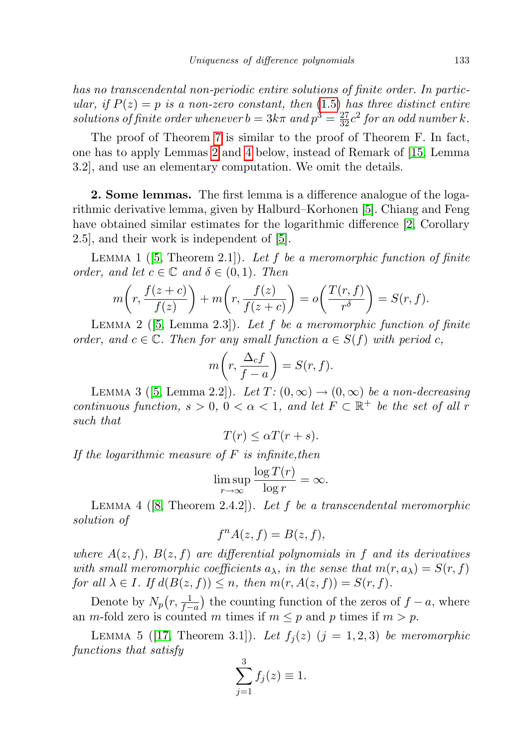has no transcendental non-periodic entire solutions of finite order. In particular, if  $P(z) = p$  is a non-zero constant, then [\(1.5\)](#page-3-3) has three distinct entire solutions of finite order whenever  $b = 3k\pi$  and  $p^3 = \frac{27}{32}c^2$  for an odd number k.

The proof of Theorem [7](#page-3-4) is similar to the proof of Theorem F. In fact, one has to apply Lemmas [2](#page-4-1) and [4](#page-4-2) below, instead of Remark of [\[15,](#page-13-2) Lemma 3.2], and use an elementary computation. We omit the details.

2. Some lemmas. The first lemma is a difference analogue of the logarithmic derivative lemma, given by Halburd–Korhonen [\[5\]](#page-12-12). Chiang and Feng have obtained similar estimates for the logarithmic difference [\[2,](#page-12-13) Corollary 2.5], and their work is independent of [\[5\]](#page-12-12).

<span id="page-4-3"></span>LEMMA 1 ([\[5,](#page-12-12) Theorem 2.1]). Let f be a meromorphic function of finite order, and let  $c \in \mathbb{C}$  and  $\delta \in (0,1)$ . Then

$$
m\bigg(r,\frac{f(z+c)}{f(z)}\bigg)+m\bigg(r,\frac{f(z)}{f(z+c)}\bigg)=o\bigg(\frac{T(r,f)}{r^{\delta}}\bigg)=S(r,f).
$$

<span id="page-4-1"></span>LEMMA 2 ([\[5,](#page-12-12) Lemma 2.3]). Let f be a meromorphic function of finite order, and  $c \in \mathbb{C}$ . Then for any small function  $a \in S(f)$  with period c,

$$
m\bigg(r,\frac{\Delta_c f}{f-a}\bigg) = S(r,f).
$$

<span id="page-4-4"></span>LEMMA 3 ([\[5,](#page-12-12) Lemma 2.2]). Let  $T: (0, \infty) \to (0, \infty)$  be a non-decreasing continuous function,  $s > 0$ ,  $0 < \alpha < 1$ , and let  $F \subset \mathbb{R}^+$  be the set of all r such that

$$
T(r) \le \alpha T(r+s).
$$

If the logarithmic measure of  $F$  is infinite, then

$$
\limsup_{r \to \infty} \frac{\log T(r)}{\log r} = \infty.
$$

<span id="page-4-2"></span>LEMMA 4 ( $[8,$  Theorem 2.4.2 $]$ ). Let f be a transcendental meromorphic solution of

$$
f^n A(z, f) = B(z, f),
$$

where  $A(z, f)$ ,  $B(z, f)$  are differential polynomials in f and its derivatives with small meromorphic coefficients  $a_{\lambda}$ , in the sense that  $m(r, a_{\lambda}) = S(r, f)$ for all  $\lambda \in I$ . If  $d(B(z, f)) \leq n$ , then  $m(r, A(z, f)) = S(r, f)$ .

Denote by  $N_p(r, \frac{1}{f-a})$  the counting function of the zeros of  $f-a$ , where an *m*-fold zero is counted m times if  $m \leq p$  and p times if  $m > p$ .

<span id="page-4-0"></span>LEMMA 5 ([\[17,](#page-13-3) Theorem 3.1]). Let  $f_j(z)$   $(j = 1, 2, 3)$  be meromorphic functions that satisfy

$$
\sum_{j=1}^{3} f_j(z) \equiv 1.
$$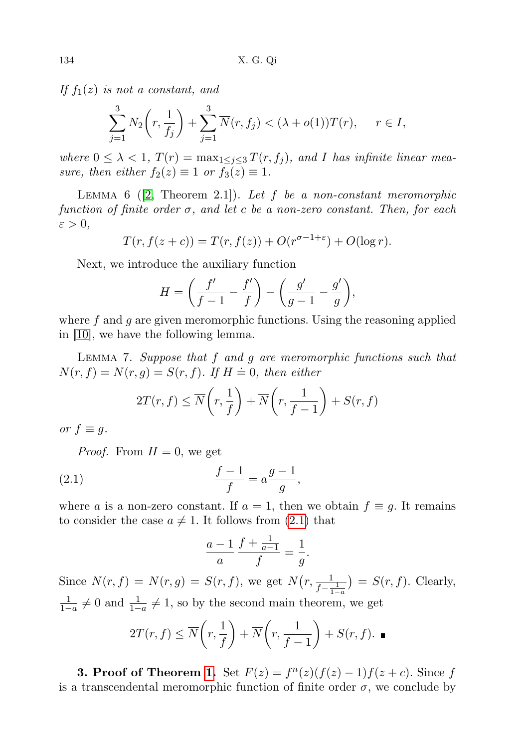If  $f_1(z)$  is not a constant, and

$$
\sum_{j=1}^{3} N_2\bigg(r, \frac{1}{f_j}\bigg) + \sum_{j=1}^{3} \overline{N}(r, f_j) < (\lambda + o(1))T(r), \quad r \in I,
$$

where  $0 \leq \lambda < 1$ ,  $T(r) = \max_{1 \leq j \leq 3} T(r, f_j)$ , and I has infinite linear measure, then either  $f_2(z) \equiv 1$  or  $f_3(z) \equiv 1$ .

<span id="page-5-1"></span>LEMMA 6  $([2, Theorem 2.1])$  $([2, Theorem 2.1])$  $([2, Theorem 2.1])$ . Let f be a non-constant meromorphic function of finite order  $\sigma$ , and let c be a non-zero constant. Then, for each  $\varepsilon > 0$ ,

$$
T(r, f(z + c)) = T(r, f(z)) + O(r^{\sigma - 1 + \varepsilon}) + O(\log r).
$$

Next, we introduce the auxiliary function

$$
H = \left(\frac{f'}{f-1} - \frac{f'}{f}\right) - \left(\frac{g'}{g-1} - \frac{g'}{g}\right),
$$

where  $f$  and  $g$  are given meromorphic functions. Using the reasoning applied in [\[10\]](#page-12-9), we have the following lemma.

<span id="page-5-2"></span>LEMMA 7. Suppose that  $f$  and  $g$  are meromorphic functions such that  $N(r, f) = N(r, g) = S(r, f)$ . If  $H \doteq 0$ , then either

$$
2T(r, f) \le \overline{N}\left(r, \frac{1}{f}\right) + \overline{N}\left(r, \frac{1}{f-1}\right) + S(r, f)
$$

or  $f \equiv q$ .

*Proof.* From  $H = 0$ , we get

(2.1) 
$$
\frac{f-1}{f} = a\frac{g-1}{g},
$$

where a is a non-zero constant. If  $a = 1$ , then we obtain  $f \equiv q$ . It remains to consider the case  $a \neq 1$ . It follows from  $(2.1)$  that

<span id="page-5-0"></span>
$$
\frac{a-1}{a} \, \frac{f + \frac{1}{a-1}}{f} = \frac{1}{g}.
$$

Since  $N(r, f) = N(r, g) = S(r, f)$ , we get  $N(r, \frac{1}{f - \frac{1}{1 - a}})$  $) = S(r, f)$ . Clearly,  $\frac{1}{1-a} \neq 0$  and  $\frac{1}{1-a} \neq 1$ , so by the second main theorem, we get

$$
2T(r, f) \le \overline{N}\left(r, \frac{1}{f}\right) + \overline{N}\left(r, \frac{1}{f-1}\right) + S(r, f). \blacksquare
$$

**3. Proof of Theorem [1.](#page-1-0)** Set  $F(z) = f^{n}(z)(f(z) - 1)f(z + c)$ . Since f is a transcendental meromorphic function of finite order  $\sigma$ , we conclude by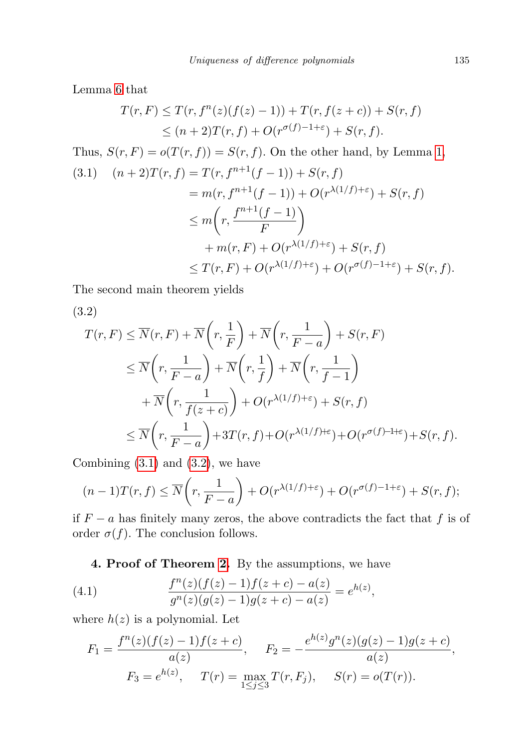Lemma [6](#page-5-1) that

$$
T(r, F) \le T(r, f^{n}(z)(f(z) - 1)) + T(r, f(z + c)) + S(r, f)
$$
  
 
$$
\le (n+2)T(r, f) + O(r^{\sigma(f)-1+\varepsilon}) + S(r, f).
$$

Thus,  $S(r, F) = o(T(r, f)) = S(r, f)$ . On the other hand, by Lemma [1,](#page-4-3)

<span id="page-6-0"></span>
$$
(3.1) \quad (n+2)T(r,f) = T(r, f^{n+1}(f-1)) + S(r,f)
$$
  
\n
$$
= m(r, f^{n+1}(f-1)) + O(r^{\lambda(1/f)+\varepsilon}) + S(r,f)
$$
  
\n
$$
\leq m\left(r, \frac{f^{n+1}(f-1)}{F}\right)
$$
  
\n
$$
+ m(r, F) + O(r^{\lambda(1/f)+\varepsilon}) + S(r, f)
$$
  
\n
$$
\leq T(r, F) + O(r^{\lambda(1/f)+\varepsilon}) + O(r^{\sigma(f)-1+\varepsilon}) + S(r, f).
$$

The second main theorem yields

<span id="page-6-1"></span>(3.2)

$$
T(r, F) \leq \overline{N}(r, F) + \overline{N}\left(r, \frac{1}{F}\right) + \overline{N}\left(r, \frac{1}{F-a}\right) + S(r, F)
$$
  
\n
$$
\leq \overline{N}\left(r, \frac{1}{F-a}\right) + \overline{N}\left(r, \frac{1}{f}\right) + \overline{N}\left(r, \frac{1}{f-1}\right)
$$
  
\n
$$
+ \overline{N}\left(r, \frac{1}{f(z+c)}\right) + O(r^{\lambda(1/f)+\epsilon}) + S(r, f)
$$
  
\n
$$
\leq \overline{N}\left(r, \frac{1}{F-a}\right) + 3T(r, f) + O(r^{\lambda(1/f)+\epsilon}) + O(r^{\sigma(f)-1+\epsilon}) + S(r, f).
$$

Combining  $(3.1)$  and  $(3.2)$ , we have

$$
(n-1)T(r,f) \leq \overline{N}\left(r,\frac{1}{F-a}\right) + O(r^{\lambda(1/f)+\varepsilon}) + O(r^{\sigma(f)-1+\varepsilon}) + S(r,f);
$$

if  $F − a$  has finitely many zeros, the above contradicts the fact that f is of order  $\sigma(f)$ . The conclusion follows.

4. Proof of Theorem [2.](#page-1-1) By the assumptions, we have

(4.1) 
$$
\frac{f^{n}(z)(f(z)-1)f(z+c)-a(z)}{g^{n}(z)(g(z)-1)g(z+c)-a(z)}=e^{h(z)},
$$

where  $h(z)$  is a polynomial. Let

$$
F_1 = \frac{f^n(z)(f(z) - 1)f(z + c)}{a(z)}, \qquad F_2 = -\frac{e^{h(z)}g^n(z)(g(z) - 1)g(z + c)}{a(z)},
$$

$$
F_3 = e^{h(z)}, \qquad T(r) = \max_{1 \le j \le 3} T(r, F_j), \qquad S(r) = o(T(r)).
$$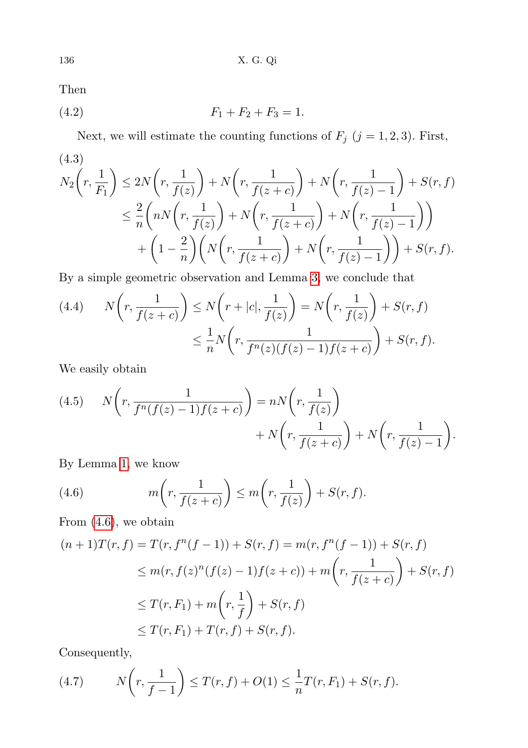Then

$$
(4.2) \t\t F_1 + F_2 + F_3 = 1.
$$

Next, we will estimate the counting functions of  $F_j$   $(j = 1, 2, 3)$ . First,

<span id="page-7-1"></span>
$$
(4.3)
$$
\n
$$
N_2\left(r, \frac{1}{F_1}\right) \le 2N\left(r, \frac{1}{f(z)}\right) + N\left(r, \frac{1}{f(z+c)}\right) + N\left(r, \frac{1}{f(z)-1}\right) + S(r, f)
$$
\n
$$
\le \frac{2}{n}\left(nN\left(r, \frac{1}{f(z)}\right) + N\left(r, \frac{1}{f(z+c)}\right) + N\left(r, \frac{1}{f(z)-1}\right)\right)
$$
\n
$$
+ \left(1 - \frac{2}{n}\right)\left(N\left(r, \frac{1}{f(z+c)}\right) + N\left(r, \frac{1}{f(z)-1}\right)\right) + S(r, f).
$$

By a simple geometric observation and Lemma [3,](#page-4-4) we conclude that

$$
(4.4) \qquad N\left(r, \frac{1}{f(z+c)}\right) \le N\left(r+|c|, \frac{1}{f(z)}\right) = N\left(r, \frac{1}{f(z)}\right) + S(r, f)
$$

$$
\le \frac{1}{n} N\left(r, \frac{1}{f^n(z)(f(z)-1)f(z+c)}\right) + S(r, f).
$$

We easily obtain

<span id="page-7-0"></span>(4.5) 
$$
N\left(r, \frac{1}{f^{n}(f(z)-1)f(z+c)}\right) = nN\left(r, \frac{1}{f(z)}\right) + N\left(r, \frac{1}{f(z+c)}\right) + N\left(r, \frac{1}{f(z)-1}\right).
$$

By Lemma [1,](#page-4-3) we know

(4.6) 
$$
m\left(r,\frac{1}{f(z+c)}\right) \leq m\left(r,\frac{1}{f(z)}\right) + S(r,f).
$$

From [\(4.6\)](#page-7-0), we obtain

$$
(n+1)T(r, f) = T(r, f^{n}(f-1)) + S(r, f) = m(r, f^{n}(f-1)) + S(r, f)
$$
  
\n
$$
\leq m(r, f(z)^{n}(f(z) - 1)f(z + c)) + m\left(r, \frac{1}{f(z + c)}\right) + S(r, f)
$$
  
\n
$$
\leq T(r, F_1) + m\left(r, \frac{1}{f}\right) + S(r, f)
$$
  
\n
$$
\leq T(r, F_1) + T(r, f) + S(r, f).
$$

Consequently,

(4.7) 
$$
N\left(r, \frac{1}{f-1}\right) \le T(r, f) + O(1) \le \frac{1}{n}T(r, F_1) + S(r, f).
$$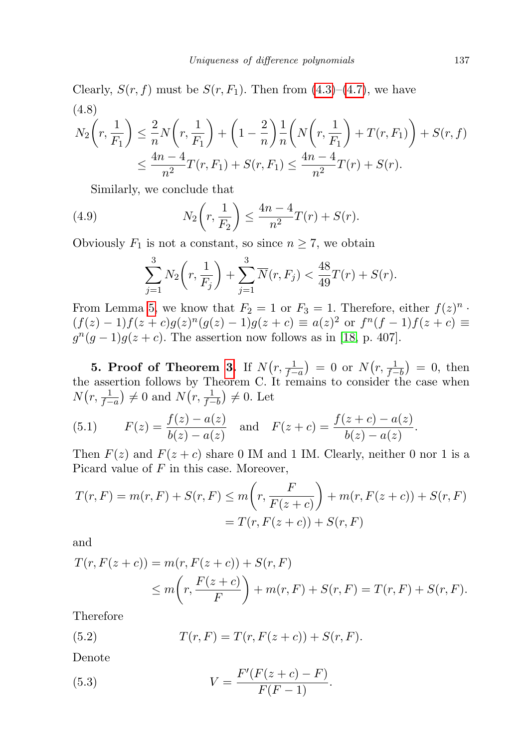Clearly,  $S(r, f)$  must be  $S(r, F_1)$ . Then from  $(4.3)$ – $(4.7)$ , we have (4.8)

$$
N_2\left(r, \frac{1}{F_1}\right) \leq \frac{2}{n}N\left(r, \frac{1}{F_1}\right) + \left(1 - \frac{2}{n}\right)\frac{1}{n}\left(N\left(r, \frac{1}{F_1}\right) + T(r, F_1)\right) + S(r, f)
$$
  

$$
\leq \frac{4n - 4}{n^2}T(r, F_1) + S(r, F_1) \leq \frac{4n - 4}{n^2}T(r) + S(r).
$$

Similarly, we conclude that

(4.9) 
$$
N_2\left(r, \frac{1}{F_2}\right) \le \frac{4n-4}{n^2}T(r) + S(r).
$$

Obviously  $F_1$  is not a constant, so since  $n \geq 7$ , we obtain

$$
\sum_{j=1}^{3} N_2\bigg(r, \frac{1}{F_j}\bigg) + \sum_{j=1}^{3} \overline{N}(r, F_j) < \frac{48}{49}T(r) + S(r).
$$

From Lemma [5,](#page-4-0) we know that  $F_2 = 1$  or  $F_3 = 1$ . Therefore, either  $f(z)^n$ .  $(f(z) - 1) f(z + c) g(z)^n (g(z) - 1) g(z + c) \equiv a(z)^2 \text{ or } f^n (f - 1) f(z + c) \equiv$  $g^{n}(g-1)g(z+c)$ . The assertion now follows as in [\[18,](#page-13-1) p. 407].

5. Proof of Theorem [3.](#page-2-0) If  $N(r, \frac{1}{f-a}) = 0$  or  $N(r, \frac{1}{f-b}) = 0$ , then the assertion follows by Theorem C. It remains to consider the case when  $N(r, \frac{1}{f-a}) \neq 0$  and  $N(r, \frac{1}{f-b}) \neq 0$ . Let

<span id="page-8-1"></span>(5.1) 
$$
F(z) = \frac{f(z) - a(z)}{b(z) - a(z)} \text{ and } F(z + c) = \frac{f(z + c) - a(z)}{b(z) - a(z)}.
$$

Then  $F(z)$  and  $F(z + c)$  share 0 IM and 1 IM. Clearly, neither 0 nor 1 is a Picard value of  $F$  in this case. Moreover,

$$
T(r, F) = m(r, F) + S(r, F) \le m \left( r, \frac{F}{F(z + c)} \right) + m(r, F(z + c)) + S(r, F)
$$
  
=  $T(r, F(z + c)) + S(r, F)$ 

and

$$
T(r, F(z + c)) = m(r, F(z + c)) + S(r, F)
$$
  
\n
$$
\leq m\left(r, \frac{F(z + c)}{F}\right) + m(r, F) + S(r, F) = T(r, F) + S(r, F).
$$

Therefore

<span id="page-8-2"></span>(5.2) 
$$
T(r, F) = T(r, F(z + c)) + S(r, F).
$$

Denote

<span id="page-8-0"></span>(5.3) 
$$
V = \frac{F'(F(z+c) - F)}{F(F-1)}.
$$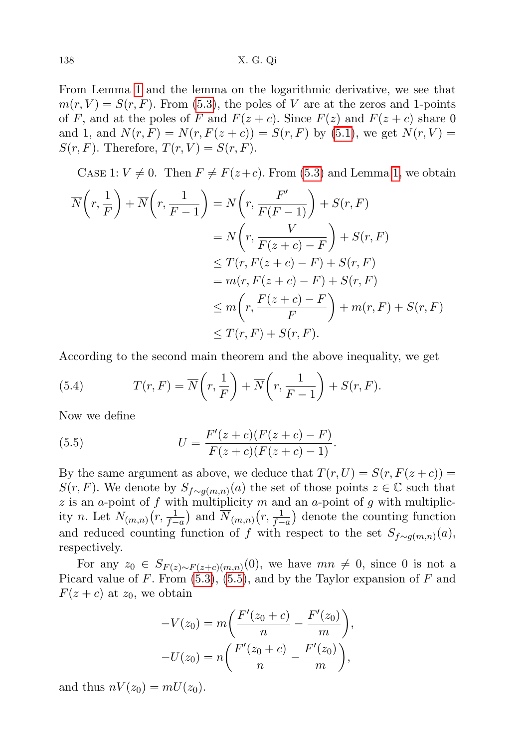From Lemma [1](#page-4-3) and the lemma on the logarithmic derivative, we see that  $m(r, V) = S(r, F)$ . From [\(5.3\)](#page-8-0), the poles of V are at the zeros and 1-points of F, and at the poles of F and  $F(z + c)$ . Since  $F(z)$  and  $F(z + c)$  share 0 and 1, and  $N(r, F) = N(r, F(z + c)) = S(r, F)$  by [\(5.1\)](#page-8-1), we get  $N(r, V) =$  $S(r, F)$ . Therefore,  $T(r, V) = S(r, F)$ .

CASE 1:  $V \neq 0$ . Then  $F \neq F(z+c)$ . From [\(5.3\)](#page-8-0) and Lemma [1,](#page-4-3) we obtain

$$
\overline{N}\left(r, \frac{1}{F}\right) + \overline{N}\left(r, \frac{1}{F-1}\right) = N\left(r, \frac{F'}{F(F-1)}\right) + S(r, F)
$$
  
\n
$$
= N\left(r, \frac{V}{F(z+c) - F}\right) + S(r, F)
$$
  
\n
$$
\leq T(r, F(z+c) - F) + S(r, F)
$$
  
\n
$$
= m(r, F(z+c) - F) + S(r, F)
$$
  
\n
$$
\leq m\left(r, \frac{F(z+c) - F}{F}\right) + m(r, F) + S(r, F)
$$
  
\n
$$
\leq T(r, F) + S(r, F).
$$

According to the second main theorem and the above inequality, we get

<span id="page-9-1"></span>(5.4) 
$$
T(r, F) = \overline{N}\left(r, \frac{1}{F}\right) + \overline{N}\left(r, \frac{1}{F-1}\right) + S(r, F).
$$

Now we define

<span id="page-9-0"></span>(5.5) 
$$
U = \frac{F'(z+c)(F(z+c) - F)}{F(z+c)(F(z+c) - 1)}.
$$

By the same argument as above, we deduce that  $T(r, U) = S(r, F(z + c))$  $S(r, F)$ . We denote by  $S_{f \sim g(m,n)}(a)$  the set of those points  $z \in \mathbb{C}$  such that  $z$  is an a-point of  $f$  with multiplicity  $m$  and an a-point of  $g$  with multiplicity n. Let  $N_{(m,n)}(r, \frac{1}{f-a})$  and  $\overline{N}_{(m,n)}(r, \frac{1}{f-a})$  denote the counting function and reduced counting function of f with respect to the set  $S_{f\sim g(m,n)}(a)$ , respectively.

For any  $z_0 \in S_{F(z) \sim F(z+c)(m,n)}(0)$ , we have  $mn \neq 0$ , since 0 is not a Picard value of  $F$ . From  $(5.3)$ ,  $(5.5)$ , and by the Taylor expansion of  $F$  and  $F(z + c)$  at  $z_0$ , we obtain

$$
-V(z_0) = m\left(\frac{F'(z_0 + c)}{n} - \frac{F'(z_0)}{m}\right),
$$
  

$$
-U(z_0) = n\left(\frac{F'(z_0 + c)}{n} - \frac{F'(z_0)}{m}\right),
$$

and thus  $nV(z_0) = mU(z_0)$ .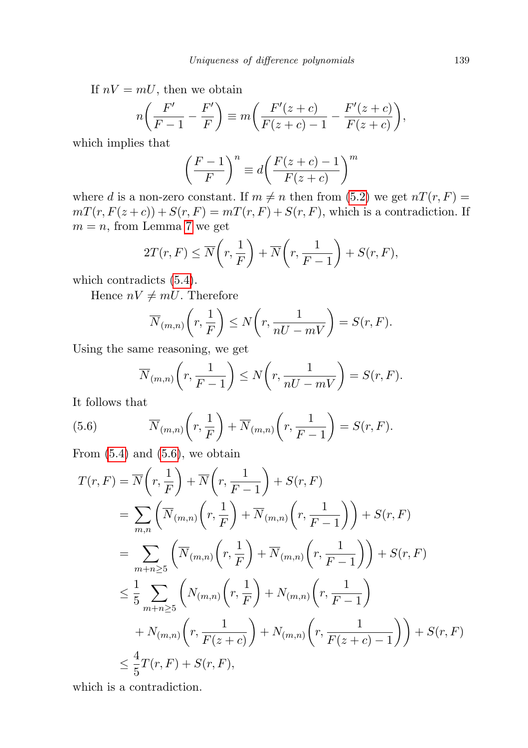If  $nV = mU$ , then we obtain

$$
n\left(\frac{F'}{F-1} - \frac{F'}{F}\right) \equiv m\left(\frac{F'(z+c)}{F(z+c) - 1} - \frac{F'(z+c)}{F(z+c)}\right),
$$

which implies that

$$
\left(\frac{F-1}{F}\right)^n \equiv d\left(\frac{F(z+c)-1}{F(z+c)}\right)^m
$$

where d is a non-zero constant. If  $m \neq n$  then from [\(5.2\)](#page-8-2) we get  $nT(r, F) =$  $mT(r, F(z + c)) + S(r, F) = mT(r, F) + S(r, F)$ , which is a contradiction. If  $m = n$ , from Lemma [7](#page-5-2) we get

$$
2T(r, F) \le \overline{N}\left(r, \frac{1}{F}\right) + \overline{N}\left(r, \frac{1}{F-1}\right) + S(r, F),
$$

which contradicts [\(5.4\)](#page-9-1).

Hence  $nV \neq mU$ . Therefore

$$
\overline{N}_{(m,n)}\left(r,\frac{1}{F}\right) \le N\left(r,\frac{1}{nU-mV}\right) = S(r,F).
$$

Using the same reasoning, we get

<span id="page-10-0"></span>
$$
\overline{N}_{(m,n)}\left(r,\frac{1}{F-1}\right) \le N\left(r,\frac{1}{nU-mV}\right) = S(r,F).
$$

It follows that

(5.6) 
$$
\overline{N}_{(m,n)}\left(r,\frac{1}{F}\right)+\overline{N}_{(m,n)}\left(r,\frac{1}{F-1}\right)=S(r,F).
$$

From  $(5.4)$  and  $(5.6)$ , we obtain

$$
T(r, F) = \overline{N}\left(r, \frac{1}{F}\right) + \overline{N}\left(r, \frac{1}{F-1}\right) + S(r, F)
$$
  
\n
$$
= \sum_{m,n} \left(\overline{N}_{(m,n)}\left(r, \frac{1}{F}\right) + \overline{N}_{(m,n)}\left(r, \frac{1}{F-1}\right)\right) + S(r, F)
$$
  
\n
$$
= \sum_{m+n \ge 5} \left(\overline{N}_{(m,n)}\left(r, \frac{1}{F}\right) + \overline{N}_{(m,n)}\left(r, \frac{1}{F-1}\right)\right) + S(r, F)
$$
  
\n
$$
\le \frac{1}{5} \sum_{m+n \ge 5} \left(N_{(m,n)}\left(r, \frac{1}{F}\right) + N_{(m,n)}\left(r, \frac{1}{F-1}\right)\right)
$$
  
\n
$$
+ N_{(m,n)}\left(r, \frac{1}{F(z+c)}\right) + N_{(m,n)}\left(r, \frac{1}{F(z+c)-1}\right)\right) + S(r, F)
$$
  
\n
$$
\le \frac{4}{5}T(r, F) + S(r, F),
$$

which is a contradiction.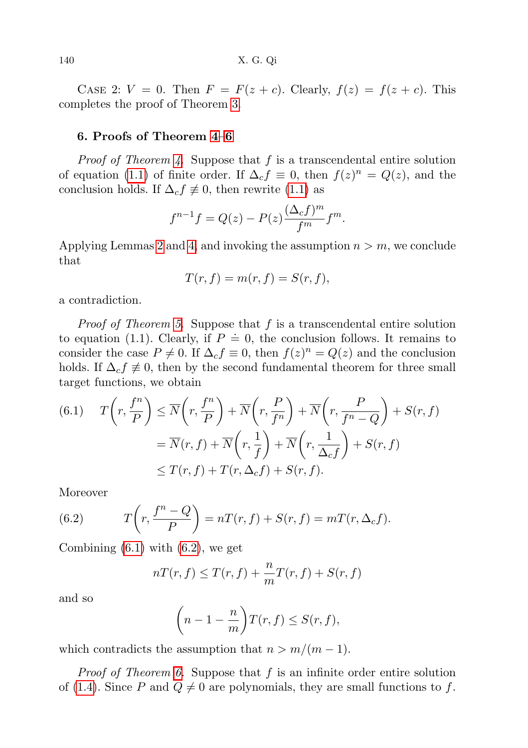CASE 2:  $V = 0$ . Then  $F = F(z + c)$ . Clearly,  $f(z) = f(z + c)$ . This completes the proof of Theorem [3.](#page-2-0)

## 6. Proofs of Theorem [4](#page-3-0)[–6](#page-3-5)

*Proof of Theorem [4.](#page-3-0)* Suppose that f is a transcendental entire solution of equation [\(1.1\)](#page-2-1) of finite order. If  $\Delta_c f \equiv 0$ , then  $f(z)^n = Q(z)$ , and the conclusion holds. If  $\Delta_c f \neq 0$ , then rewrite [\(1.1\)](#page-2-1) as

$$
f^{n-1}f = Q(z) - P(z)\frac{(\Delta_c f)^m}{f^m}f^m.
$$

Applying Lemmas [2](#page-4-1) and [4,](#page-4-2) and invoking the assumption  $n > m$ , we conclude that

$$
T(r, f) = m(r, f) = S(r, f),
$$

a contradiction.

*Proof of Theorem [5.](#page-3-1)* Suppose that  $f$  is a transcendental entire solution to equation (1.1). Clearly, if  $P = 0$ , the conclusion follows. It remains to consider the case  $P \neq 0$ . If  $\Delta_c f \equiv 0$ , then  $f(z)^n = Q(z)$  and the conclusion holds. If  $\Delta_c f \neq 0$ , then by the second fundamental theorem for three small target functions, we obtain

<span id="page-11-0"></span>(6.1) 
$$
T\left(r, \frac{f^n}{P}\right) \le \overline{N}\left(r, \frac{f^n}{P}\right) + \overline{N}\left(r, \frac{P}{f^n}\right) + \overline{N}\left(r, \frac{P}{f^n - Q}\right) + S(r, f)
$$

$$
= \overline{N}(r, f) + \overline{N}\left(r, \frac{1}{f}\right) + \overline{N}\left(r, \frac{1}{\Delta_c f}\right) + S(r, f)
$$

$$
\le T(r, f) + T(r, \Delta_c f) + S(r, f).
$$

Moreover

(6.2) 
$$
T\left(r, \frac{f^n - Q}{P}\right) = nT(r, f) + S(r, f) = mT(r, \Delta_c f).
$$

Combining  $(6.1)$  with  $(6.2)$ , we get

<span id="page-11-1"></span>
$$
nT(r, f) \le T(r, f) + \frac{n}{m}T(r, f) + S(r, f)
$$

and so

$$
\left(n-1-\frac{n}{m}\right)T(r,f) \leq S(r,f),
$$

which contradicts the assumption that  $n > m/(m-1)$ .

*Proof of Theorem [6.](#page-3-5)* Suppose that  $f$  is an infinite order entire solution of [\(1.4\)](#page-3-2). Since P and  $Q \neq 0$  are polynomials, they are small functions to f.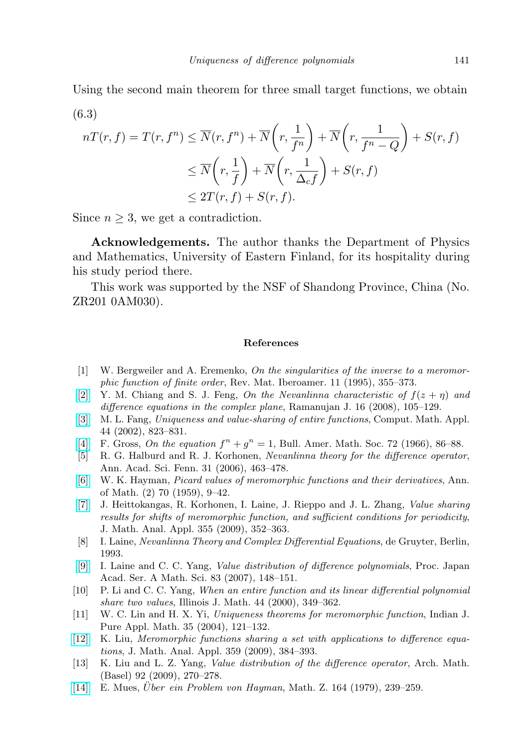Using the second main theorem for three small target functions, we obtain (6.3)

$$
nT(r, f) = T(r, f^{n}) \le \overline{N}(r, f^{n}) + \overline{N}\left(r, \frac{1}{f^{n}}\right) + \overline{N}\left(r, \frac{1}{f^{n} - Q}\right) + S(r, f)
$$
  

$$
\le \overline{N}\left(r, \frac{1}{f}\right) + \overline{N}\left(r, \frac{1}{\Delta_{c}f}\right) + S(r, f)
$$
  

$$
\le 2T(r, f) + S(r, f).
$$

Since  $n \geq 3$ , we get a contradiction.

Acknowledgements. The author thanks the Department of Physics and Mathematics, University of Eastern Finland, for its hospitality during his study period there.

This work was supported by the NSF of Shandong Province, China (No. ZR201 0AM030).

## References

- <span id="page-12-3"></span>[1] W. Bergweiler and A. Eremenko, On the singularities of the inverse to a meromorphic function of finite order, Rev. Mat. Iberoamer. 11 (1995), 355–373.
- <span id="page-12-13"></span>[\[2\]](http://dx.doi.org/10.1007/s11139-007-9101-1) Y. M. Chiang and S. J. Feng, On the Nevanlinna characteristic of  $f(z + \eta)$  and difference equations in the complex plane, Ramanujan J. 16 (2008), 105–129.
- <span id="page-12-4"></span>[\[3\]](http://dx.doi.org/10.1016/S0898-1221(02)00194-3) M. L. Fang, Uniqueness and value-sharing of entire functions, Comput. Math. Appl. 44 (2002), 823–831.
- <span id="page-12-10"></span>[\[4\]](http://dx.doi.org/10.1090/S0002-9904-1966-11429-5) F. Gross, On the equation  $f^{n} + g^{n} = 1$ , Bull. Amer. Math. Soc. 72 (1966), 86–88.
- <span id="page-12-12"></span>[5] R. G. Halburd and R. J. Korhonen, Nevanlinna theory for the difference operator, Ann. Acad. Sci. Fenn. 31 (2006), 463–478.
- <span id="page-12-1"></span>[\[6\]](http://dx.doi.org/10.2307/1969890) W. K. Hayman, Picard values of meromorphic functions and their derivatives, Ann. of Math. (2) 70 (1959), 9–42.
- <span id="page-12-8"></span>[\[7\]](http://dx.doi.org/10.1016/j.jmaa.2009.01.053) J. Heittokangas, R. Korhonen, I. Laine, J. Rieppo and J. L. Zhang, Value sharing results for shifts of meromorphic function, and sufficient conditions for periodicity, J. Math. Anal. Appl. 355 (2009), 352–363.
- <span id="page-12-0"></span>[8] I. Laine, Nevanlinna Theory and Complex Differential Equations, de Gruyter, Berlin, 1993.
- <span id="page-12-5"></span>[\[9\]](http://dx.doi.org/10.3792/pjaa.83.148) I. Laine and C. C. Yang, Value distribution of difference polynomials, Proc. Japan Acad. Ser. A Math. Sci. 83 (2007), 148–151.
- <span id="page-12-9"></span>[10] P. Li and C. C. Yang, When an entire function and its linear differential polynomial share two values, Illinois J. Math. 44 (2000), 349–362.
- <span id="page-12-7"></span>[11] W. C. Lin and H. X. Yi, Uniqueness theorems for meromorphic function, Indian J. Pure Appl. Math. 35 (2004), 121–132.
- <span id="page-12-11"></span>[\[12\]](http://dx.doi.org/10.1016/j.jmaa.2009.05.061) K. Liu, Meromorphic functions sharing a set with applications to difference equations, J. Math. Anal. Appl. 359 (2009), 384–393.
- <span id="page-12-6"></span>[13] K. Liu and L. Z. Yang, Value distribution of the difference operator, Arch. Math. (Basel) 92 (2009), 270–278.
- <span id="page-12-2"></span>[\[14\]](http://dx.doi.org/10.1007/BF01182271) E. Mues, *Über ein Problem von Hayman*, Math. Z. 164 (1979), 239–259.